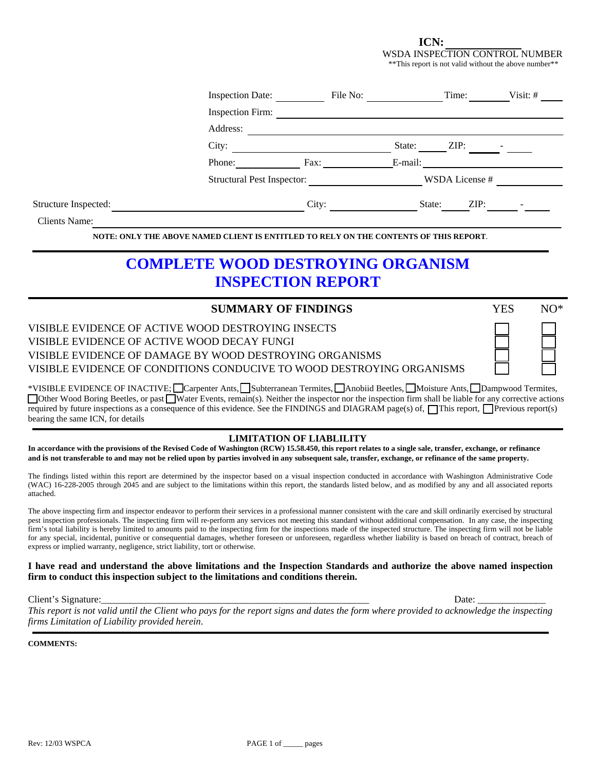**ICN:** 

WSDA INSPECTION CONTROL NUMBER \*\*This report is not valid without the above number\*\*

|                      | <b>Inspection Date:</b>                  | File No:                                      |                | Time: | Visit: $#$ |
|----------------------|------------------------------------------|-----------------------------------------------|----------------|-------|------------|
|                      | Inspection Firm:                         |                                               |                |       |            |
|                      | Address:                                 |                                               |                |       |            |
|                      | City:                                    |                                               | State:         | ZIP:  |            |
|                      | Phone:                                   | Fax:                                          | E-mail:        |       |            |
|                      | <b>Structural Pest Inspector:</b>        |                                               | WSDA License # |       |            |
| Structure Inspected: |                                          | City:                                         | State:         | ZIP:  |            |
| Clients Name:        |                                          |                                               |                |       |            |
|                      | <b>NOTE: ONLY THE ABOVE NAMED CLIENT</b> | ITLED TO RELY ON THE CONTENTS OF THIS REPORT. |                |       |            |

# **COMPLETE WOOD DESTROYING ORGANISM INSPECTION REPORT**

| <b>SUMMARY OF FINDINGS</b>                                            | YES | $N()^*$ |
|-----------------------------------------------------------------------|-----|---------|
| VISIBLE EVIDENCE OF ACTIVE WOOD DESTROYING INSECTS                    |     |         |
| VISIBLE EVIDENCE OF ACTIVE WOOD DECAY FUNGI                           |     |         |
| VISIBLE EVIDENCE OF DAMAGE BY WOOD DESTROYING ORGANISMS               |     |         |
| VISIBLE EVIDENCE OF CONDITIONS CONDUCIVE TO WOOD DESTROYING ORGANISMS |     |         |

\*VISIBLE EVIDENCE OF INACTIVE; Carpenter Ants, Subterranean Termites, Anobiid Beetles, Moisture Ants, Dampwood Termites, Other Wood Boring Beetles, or past Water Events, remain(s). Neither the inspector nor the inspection firm shall be liable for any corrective actions required by future inspections as a consequence of this evidence. See the FINDINGS and DIAGRAM page(s) of,  $\Box$ This report,  $\Box$ Previous report(s) bearing the same ICN, for details

### **LIMITATION OF LIABLILITY**

**In accordance with the provisions of the Revised Code of Washington (RCW) 15.58.450, this report relates to a single sale, transfer, exchange, or refinance and is not transferable to and may not be relied upon by parties involved in any subsequent sale, transfer, exchange, or refinance of the same property.** 

The findings listed within this report are determined by the inspector based on a visual inspection conducted in accordance with Washington Administrative Code (WAC) 16-228-2005 through 2045 and are subject to the limitations within this report, the standards listed below, and as modified by any and all associated reports attached.

The above inspecting firm and inspector endeavor to perform their services in a professional manner consistent with the care and skill ordinarily exercised by structural pest inspection professionals. The inspecting firm will re-perform any services not meeting this standard without additional compensation. In any case, the inspecting firm's total liability is hereby limited to amounts paid to the inspecting firm for the inspections made of the inspected structure. The inspecting firm will not be liable for any special, incidental, punitive or consequential damages, whether foreseen or unforeseen, regardless whether liability is based on breach of contract, breach of express or implied warranty, negligence, strict liability, tort or otherwise.

#### **I have read and understand the above limitations and the Inspection Standards and authorize the above named inspection firm to conduct this inspection subject to the limitations and conditions therein.**

Client's Signature:\_\_\_\_\_\_\_\_\_\_\_\_\_\_\_\_\_\_\_\_\_\_\_\_\_\_\_\_\_\_\_\_\_\_\_\_\_\_\_\_\_\_\_\_\_\_\_\_\_\_\_\_\_\_\_ Date: \_\_\_\_\_\_\_\_\_\_\_\_\_\_

*This report is not valid until the Client who pays for the report signs and dates the form where provided to acknowledge the inspecting firms Limitation of Liability provided herein*.

**COMMENTS:**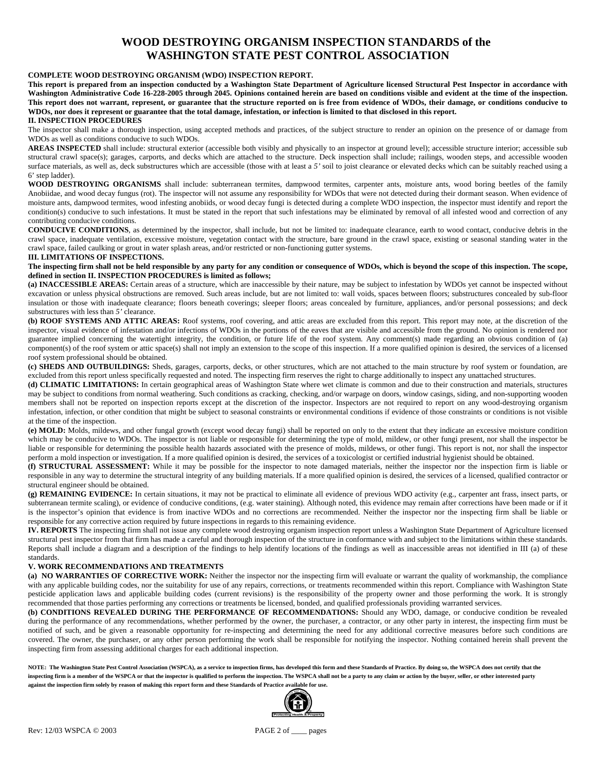### **WOOD DESTROYING ORGANISM INSPECTION STANDARDS of the WASHINGTON STATE PEST CONTROL ASSOCIATION**

#### **COMPLETE WOOD DESTROYING ORGANISM (WDO) INSPECTION REPORT.**

**This report is prepared from an inspection conducted by a Washington State Department of Agriculture licensed Structural Pest Inspector in accordance with Washington Administrative Code 16-228-2005 through 2045. Opinions contained herein are based on conditions visible and evident at the time of the inspection. This report does not warrant, represent, or guarantee that the structure reported on is free from evidence of WDOs, their damage, or conditions conducive to WDOs, nor does it represent or guarantee that the total damage, infestation, or infection is limited to that disclosed in this report.** 

#### **II. INSPECTION PROCEDURES**

The inspector shall make a thorough inspection, using accepted methods and practices, of the subject structure to render an opinion on the presence of or damage from WDOs as well as conditions conducive to such WDOs.

**AREAS INSPECTED** shall include: structural exterior (accessible both visibly and physically to an inspector at ground level); accessible structure interior; accessible sub structural crawl space(s); garages, carports, and decks which are attached to the structure. Deck inspection shall include; railings, wooden steps, and accessible wooden surface materials, as well as, deck substructures which are accessible (those with at least a 5' soil to joist clearance or elevated decks which can be suitably reached using a 6' step ladder).

**WOOD DESTROYING ORGANISMS** shall include: subterranean termites, dampwood termites, carpenter ants, moisture ants, wood boring beetles of the family Anobiidae, and wood decay fungus (rot). The inspector will not assume any responsibility for WDOs that were not detected during their dormant season. When evidence of moisture ants, dampwood termites, wood infesting anobiids, or wood decay fungi is detected during a complete WDO inspection, the inspector must identify and report the condition(s) conducive to such infestations. It must be stated in the report that such infestations may be eliminated by removal of all infested wood and correction of any contributing conducive conditions.

**CONDUCIVE CONDITIONS**, as determined by the inspector, shall include, but not be limited to: inadequate clearance, earth to wood contact, conducive debris in the crawl space, inadequate ventilation, excessive moisture, vegetation contact with the structure, bare ground in the crawl space, existing or seasonal standing water in the crawl space, failed caulking or grout in water splash areas, and/or restricted or non-functioning gutter systems.

#### **III. LIMITATIONS OF INSPECTIONS.**

The inspecting firm shall not be held responsible by any party for any condition or consequence of WDOs, which is beyond the scope of this inspection. The scope, **defined in section II. INSPECTION PROCEDURES is limited as follows;** 

**(a) INACCESSIBLE AREAS:** Certain areas of a structure, which are inaccessible by their nature, may be subject to infestation by WDOs yet cannot be inspected without excavation or unless physical obstructions are removed. Such areas include, but are not limited to: wall voids, spaces between floors; substructures concealed by sub-floor insulation or those with inadequate clearance; floors beneath coverings; sleeper floors; areas concealed by furniture, appliances, and/or personal possessions; and deck substructures with less than *5'* clearance.

**(b) ROOF SYSTEMS AND ATTIC AREAS:** Roof systems, roof covering, and attic areas are excluded from this report. This report may note, at the discretion of the inspector, visual evidence of infestation and/or infections of WDOs in the portions of the eaves that are visible and accessible from the ground. No opinion is rendered nor guarantee implied concerning the watertight integrity, the condition, or future life of the roof system. Any comment(s) made regarding an obvious condition of (a) component(s) of the roof system or attic space(s) shall not imply an extension to the scope of this inspection. If a more qualified opinion is desired, the services of a licensed roof system professional should be obtained.

**(c) SHEDS AND OUTBUILDINGS:** Sheds, garages, carports, decks, or other structures, which are not attached to the main structure by roof system or foundation, are excluded from this report unless specifically requested and noted. The inspecting firm reserves the right to charge additionally to inspect any unattached structures.

**(d) CLIMATIC LIMITATIONS:** In certain geographical areas of Washington State where wet climate is common and due to their construction and materials, structures may be subject to conditions from normal weathering. Such conditions as cracking, checking, and/or warpage on doors, window casings, siding, and non-supporting wooden members shall not be reported on inspection reports except at the discretion of the inspector. Inspectors are not required to report on any wood-destroying organism infestation, infection, or other condition that might be subject to seasonal constraints or environmental conditions if evidence of those constraints or conditions is not visible at the time of the inspection.

**(e) MOLD:** Molds, mildews, and other fungal growth (except wood decay fungi) shall be reported on only to the extent that they indicate an excessive moisture condition which may be conducive to WDOs. The inspector is not liable or responsible for determining the type of mold, mildew, or other fungi present, nor shall the inspector be liable or responsible for determining the possible health hazards associated with the presence of molds, mildews, or other fungi. This report is not, nor shall the inspector perform a mold inspection or investigation. If a more qualified opinion is desired, the services of a toxicologist or certified industrial hygienist should be obtained.

**(f) STRUCTURAL ASSESSMENT:** While it may be possible for the inspector to note damaged materials, neither the inspector nor the inspection firm is liable or responsible in any way to determine the structural integrity of any building materials. If a more qualified opinion is desired, the services of a licensed, qualified contractor or structural engineer should be obtained.

**(g) REMAINING EVIDENCE:** In certain situations, it may not be practical to eliminate all evidence of previous WDO activity (e.g., carpenter ant frass, insect parts, or subterranean termite scaling), or evidence of conducive conditions, (e.g. water staining). Although noted, this evidence may remain after corrections have been made or if it is the inspector's opinion that evidence is from inactive WDOs and no corrections are recommended. Neither the inspector nor the inspecting firm shall be liable or responsible for any corrective action required by future inspections in regards to this remaining evidence.

**IV. REPORTS** The inspecting firm shall not issue any complete wood destroying organism inspection report unless a Washington State Department of Agriculture licensed structural pest inspector from that firm has made a careful and thorough inspection of the structure in conformance with and subject to the limitations within these standards. Reports shall include a diagram and a description of the findings to help identify locations of the findings as well as inaccessible areas not identified in III (a) of these standards.

#### **V. WORK RECOMMENDATIONS AND TREATMENTS**

**(a) NO WARRANTIES OF CORRECTIVE WORK:** Neither the inspector nor the inspecting firm will evaluate or warrant the quality of workmanship, the compliance with any applicable building codes, nor the suitability for use of any repairs, corrections, or treatments recommended within this report. Compliance with Washington State pesticide application laws and applicable building codes (current revisions) is the responsibility of the property owner and those performing the work. It is strongly recommended that those parties performing any corrections or treatments be licensed, bonded, and qualified professionals providing warranted services.

**(b) CONDITIONS REVEALED DURING THE PERFORMANCE OF RECOMMENDATIONS:** Should any WDO, damage, or conducive condition be revealed during the performance of any recommendations, whether performed by the owner, the purchaser, a contractor, or any other party in interest, the inspecting firm must be notified of such, and be given a reasonable opportunity for re-inspecting and determining the need for any additional corrective measures before such conditions are covered. The owner, the purchaser, or any other person performing the work shall be responsible for notifying the inspector. Nothing contained herein shall prevent the inspecting firm from assessing additional charges for each additional inspection.

**NOTE: The Washington State Pest Control Association (WSPCA), as a service to inspection firms, has developed this form and these Standards of Practice. By doing so, the WSPCA does not certify that the inspecting firm is a member of the WSPCA or that the inspector is qualified to perform the inspection. The WSPCA shall not be a party to any claim or action by the buyer, seller, or other interested party against the inspection firm solely by reason of making this report form and these Standards of Practice available for use.** 

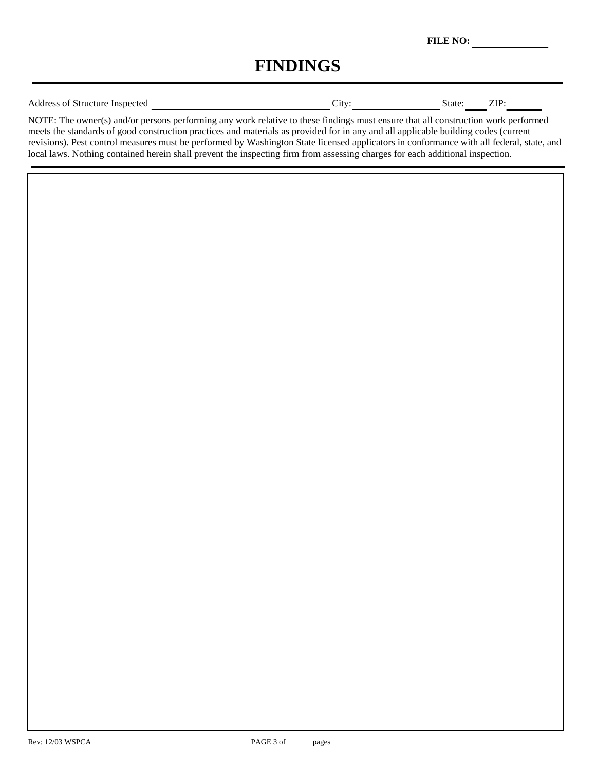**FILE NO:** 

# **FINDINGS**

| <b>Address of Structure Inspected</b> | `1fV | State. | ZIP |
|---------------------------------------|------|--------|-----|
|                                       |      |        |     |

NOTE: The owner(s) and/or persons performing any work relative to these findings must ensure that all construction work performed meets the standards of good construction practices and materials as provided for in any and all applicable building codes (current revisions). Pest control measures must be performed by Washington State licensed applicators in conformance with all federal, state, and local laws. Nothing contained herein shall prevent the inspecting firm from assessing charges for each additional inspection.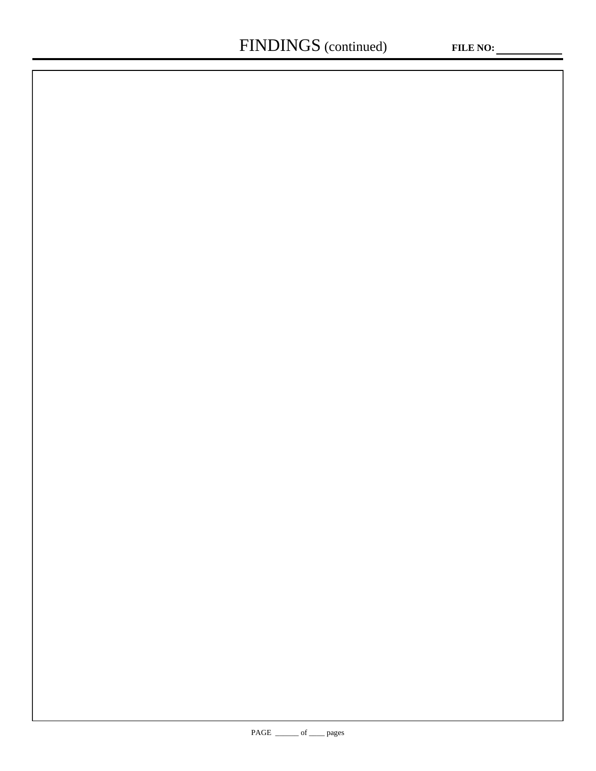$\overline{\phantom{a}}$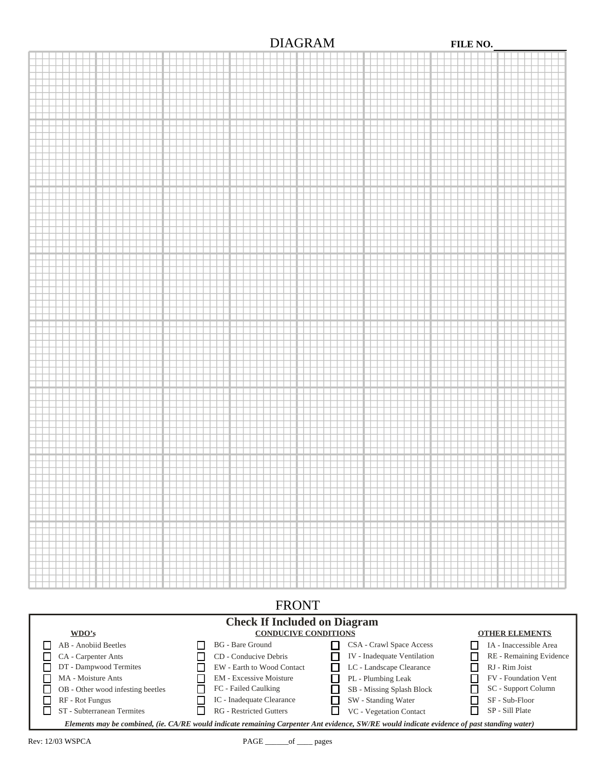## DIAGRAM **FILE NO.**



**Check If Included on Diagram CONDUCIVE CONDITIONS OTHER ELEMENTS WDO's** AB - Anobiid Beetles BG - Bare Ground CSA - Crawl Space Access IA - Inaccessible Area п  $\Box$ П. CA - Carpenter Ants П CD - Conducive Debris IV - Inadequate Ventilation  $\Box$ RE - Remaining Evidence  $\Box$ DT - Dampwood Termites  $\Box$  $\Box$ EW - Earth to Wood Contact  $\Box$ LC - Landscape Clearance RJ - Rim Joist  $\Box$ EM - Excessive Moisture  $\Box$ MA - Moisture Ants П.  $\Box$ PL - Plumbing Leak FV - Foundation Vent  $\Box$ OB - Other wood infesting beetles  $\Box$ FC - Failed Caulking  $\Box$ SB - Missing Splash Block □ SC - Support Column IC - Inadequate Clearance  $\Box$ RF - Rot Fungus  $\Box$  $\Box$ SW - Standing Water 囗 SF - Sub-Floor ō ST - Subterranean Termites  $\Box$ RG - Restricted Gutters  $\Box$  VC - Vegetation Contact  $\Box$ SP - Sill Plate *Elements may be combined, (ie. CA/RE would indicate remaining Carpenter Ant evidence, SW/RE would indicate evidence of past standing water)*